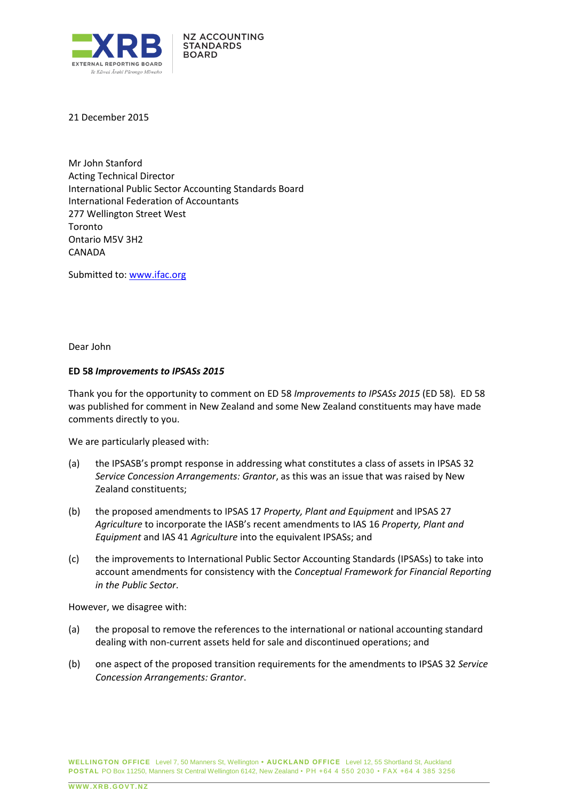

21 December 2015

Mr John Stanford Acting Technical Director International Public Sector Accounting Standards Board International Federation of Accountants 277 Wellington Street West Toronto Ontario M5V 3H2 CANADA

Submitted to: [www.ifac.org](http://www.ifac.org/) 

Dear John

## **ED 58** *Improvements to IPSASs 2015*

Thank you for the opportunity to comment on ED 58 *Improvements to IPSASs 2015* (ED 58)*.* ED 58 was published for comment in New Zealand and some New Zealand constituents may have made comments directly to you.

We are particularly pleased with:

- (a) the IPSASB's prompt response in addressing what constitutes a class of assets in IPSAS 32 *Service Concession Arrangements: Grantor*, as this was an issue that was raised by New Zealand constituents;
- (b) the proposed amendments to IPSAS 17 *Property, Plant and Equipment* and IPSAS 27 *Agriculture* to incorporate the IASB's recent amendments to IAS 16 *Property, Plant and Equipment* and IAS 41 *Agriculture* into the equivalent IPSASs; and
- (c) the improvements to International Public Sector Accounting Standards (IPSASs) to take into account amendments for consistency with the *Conceptual Framework for Financial Reporting in the Public Sector*.

However, we disagree with:

- (a) the proposal to remove the references to the international or national accounting standard dealing with non-current assets held for sale and discontinued operations; and
- (b) one aspect of the proposed transition requirements for the amendments to IPSAS 32 *Service Concession Arrangements: Grantor*.

**WELLINGTON OFFICE** Level 7, 50 Manners St, Wellington **• AUCKLAND OFFICE** Level 12, 55 Shortland St, Auckland **POSTAL** PO Box 11250, Manners St Central Wellington 6142, New Zealand • PH +64 4 550 2030 • FAX +64 4 385 3256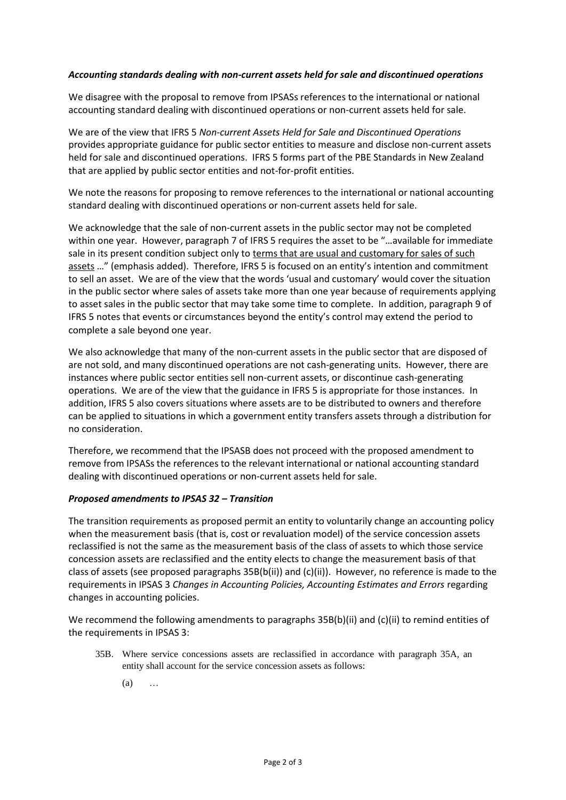## *Accounting standards dealing with non-current assets held for sale and discontinued operations*

We disagree with the proposal to remove from IPSASs references to the international or national accounting standard dealing with discontinued operations or non-current assets held for sale.

We are of the view that IFRS 5 *Non-current Assets Held for Sale and Discontinued Operations* provides appropriate guidance for public sector entities to measure and disclose non-current assets held for sale and discontinued operations. IFRS 5 forms part of the PBE Standards in New Zealand that are applied by public sector entities and not-for-profit entities.

We note the reasons for proposing to remove references to the international or national accounting standard dealing with discontinued operations or non-current assets held for sale.

We acknowledge that the sale of non-current assets in the public sector may not be completed within one year. However, paragraph 7 of IFRS 5 requires the asset to be "...available for immediate sale in its present condition subject only to terms that are usual and customary for sales of such assets …" (emphasis added). Therefore, IFRS 5 is focused on an entity's intention and commitment to sell an asset. We are of the view that the words 'usual and customary' would cover the situation in the public sector where sales of assets take more than one year because of requirements applying to asset sales in the public sector that may take some time to complete. In addition, paragraph 9 of IFRS 5 notes that events or circumstances beyond the entity's control may extend the period to complete a sale beyond one year.

We also acknowledge that many of the non-current assets in the public sector that are disposed of are not sold, and many discontinued operations are not cash-generating units. However, there are instances where public sector entities sell non-current assets, or discontinue cash-generating operations. We are of the view that the guidance in IFRS 5 is appropriate for those instances. In addition, IFRS 5 also covers situations where assets are to be distributed to owners and therefore can be applied to situations in which a government entity transfers assets through a distribution for no consideration.

Therefore, we recommend that the IPSASB does not proceed with the proposed amendment to remove from IPSASs the references to the relevant international or national accounting standard dealing with discontinued operations or non-current assets held for sale.

## *Proposed amendments to IPSAS 32 – Transition*

The transition requirements as proposed permit an entity to voluntarily change an accounting policy when the measurement basis (that is, cost or revaluation model) of the service concession assets reclassified is not the same as the measurement basis of the class of assets to which those service concession assets are reclassified and the entity elects to change the measurement basis of that class of assets (see proposed paragraphs 35B(b(ii)) and (c)(ii)). However, no reference is made to the requirements in IPSAS 3 *Changes in Accounting Policies, Accounting Estimates and Errors* regarding changes in accounting policies.

We recommend the following amendments to paragraphs 35B(b)(ii) and (c)(ii) to remind entities of the requirements in IPSAS 3:

- 35B. Where service concessions assets are reclassified in accordance with paragraph 35A, an entity shall account for the service concession assets as follows:
	- $(a)$  …